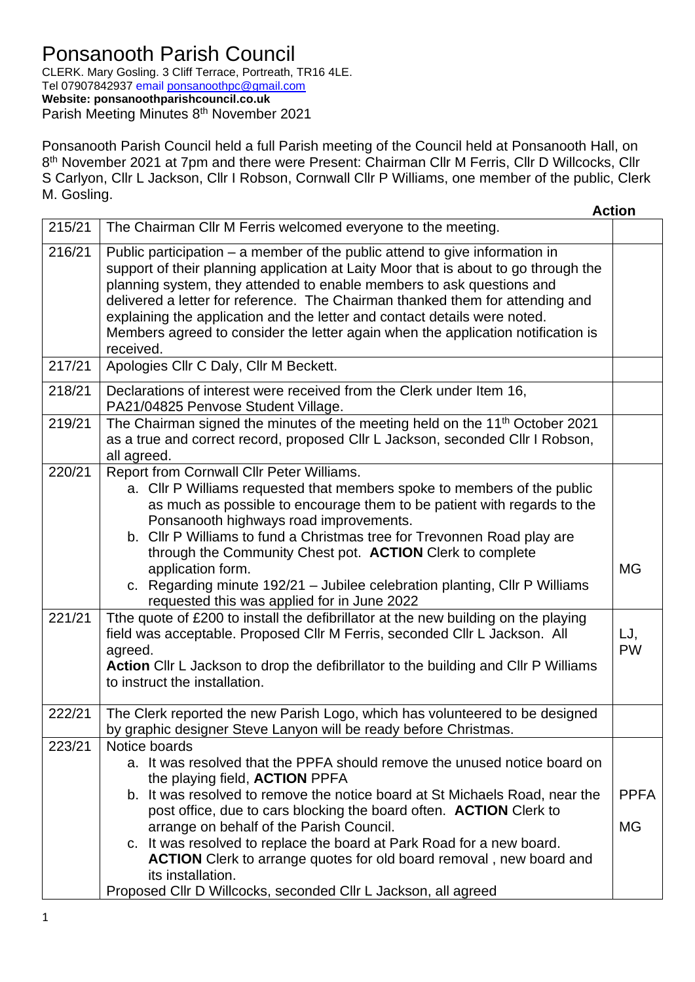CLERK. Mary Gosling. 3 Cliff Terrace, Portreath, TR16 4LE. Tel 07907842937 email [ponsanoothpc@gmail.com](mailto:ponsanoothpc@gmail.com) **Website: ponsanoothparishcouncil.co.uk** Parish Meeting Minutes 8<sup>th</sup> November 2021

Ponsanooth Parish Council held a full Parish meeting of the Council held at Ponsanooth Hall, on 8<sup>th</sup> November 2021 at 7pm and there were Present: Chairman Cllr M Ferris, Cllr D Willcocks, Cllr S Carlyon, Cllr L Jackson, Cllr I Robson, Cornwall Cllr P Williams, one member of the public, Clerk M. Gosling.

| <b>Action</b>                                                                                                                                                                                                                                                                                                                                                                                                                                                                                   |                          |
|-------------------------------------------------------------------------------------------------------------------------------------------------------------------------------------------------------------------------------------------------------------------------------------------------------------------------------------------------------------------------------------------------------------------------------------------------------------------------------------------------|--------------------------|
| The Chairman Cllr M Ferris welcomed everyone to the meeting.                                                                                                                                                                                                                                                                                                                                                                                                                                    |                          |
| Public participation $-$ a member of the public attend to give information in<br>support of their planning application at Laity Moor that is about to go through the<br>planning system, they attended to enable members to ask questions and<br>delivered a letter for reference. The Chairman thanked them for attending and<br>explaining the application and the letter and contact details were noted.<br>Members agreed to consider the letter again when the application notification is |                          |
|                                                                                                                                                                                                                                                                                                                                                                                                                                                                                                 |                          |
| Declarations of interest were received from the Clerk under Item 16,                                                                                                                                                                                                                                                                                                                                                                                                                            |                          |
| The Chairman signed the minutes of the meeting held on the 11 <sup>th</sup> October 2021<br>as a true and correct record, proposed Cllr L Jackson, seconded Cllr I Robson,                                                                                                                                                                                                                                                                                                                      |                          |
| a. Cllr P Williams requested that members spoke to members of the public<br>as much as possible to encourage them to be patient with regards to the<br>b. Cllr P Williams to fund a Christmas tree for Trevonnen Road play are<br>through the Community Chest pot. ACTION Clerk to complete                                                                                                                                                                                                     |                          |
| c. Regarding minute 192/21 - Jubilee celebration planting, Cllr P Williams                                                                                                                                                                                                                                                                                                                                                                                                                      | <b>MG</b>                |
| Tthe quote of £200 to install the defibrillator at the new building on the playing<br>field was acceptable. Proposed Cllr M Ferris, seconded Cllr L Jackson. All<br>Action Cllr L Jackson to drop the defibrillator to the building and Cllr P Williams                                                                                                                                                                                                                                         | LJ,<br><b>PW</b>         |
| The Clerk reported the new Parish Logo, which has volunteered to be designed<br>by graphic designer Steve Lanyon will be ready before Christmas.                                                                                                                                                                                                                                                                                                                                                |                          |
| a. It was resolved that the PPFA should remove the unused notice board on<br>b. It was resolved to remove the notice board at St Michaels Road, near the<br>post office, due to cars blocking the board often. <b>ACTION</b> Clerk to<br>c. It was resolved to replace the board at Park Road for a new board.<br><b>ACTION</b> Clerk to arrange quotes for old board removal, new board and                                                                                                    | <b>PPFA</b><br><b>MG</b> |
| Proposed Cllr D Willcocks, seconded Cllr L Jackson, all agreed                                                                                                                                                                                                                                                                                                                                                                                                                                  |                          |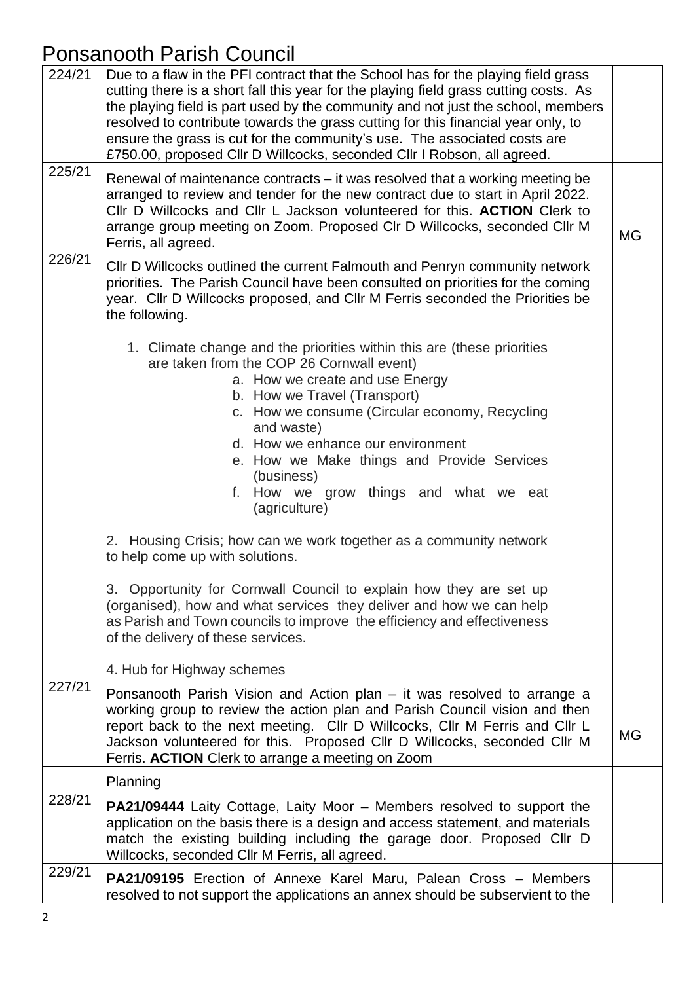| 224/21 | Due to a flaw in the PFI contract that the School has for the playing field grass<br>cutting there is a short fall this year for the playing field grass cutting costs. As<br>the playing field is part used by the community and not just the school, members<br>resolved to contribute towards the grass cutting for this financial year only, to<br>ensure the grass is cut for the community's use. The associated costs are<br>£750.00, proposed Cllr D Willcocks, seconded Cllr I Robson, all agreed. |           |
|--------|-------------------------------------------------------------------------------------------------------------------------------------------------------------------------------------------------------------------------------------------------------------------------------------------------------------------------------------------------------------------------------------------------------------------------------------------------------------------------------------------------------------|-----------|
| 225/21 | Renewal of maintenance contracts – it was resolved that a working meeting be<br>arranged to review and tender for the new contract due to start in April 2022.<br>CIIr D Willcocks and CIIr L Jackson volunteered for this. <b>ACTION</b> Clerk to<br>arrange group meeting on Zoom. Proposed CIr D Willcocks, seconded CIIr M<br>Ferris, all agreed.                                                                                                                                                       | <b>MG</b> |
| 226/21 | CIIr D Willcocks outlined the current Falmouth and Penryn community network<br>priorities. The Parish Council have been consulted on priorities for the coming<br>year. Cllr D Willcocks proposed, and Cllr M Ferris seconded the Priorities be<br>the following.                                                                                                                                                                                                                                           |           |
|        | 1. Climate change and the priorities within this are (these priorities<br>are taken from the COP 26 Cornwall event)<br>a. How we create and use Energy<br>b. How we Travel (Transport)<br>c. How we consume (Circular economy, Recycling<br>and waste)<br>d. How we enhance our environment<br>e. How we Make things and Provide Services<br>(business)<br>f. How we grow things and what we eat<br>(agriculture)                                                                                           |           |
|        | 2. Housing Crisis; how can we work together as a community network<br>to help come up with solutions.<br>3. Opportunity for Cornwall Council to explain how they are set up<br>(organised), how and what services they deliver and how we can help<br>as Parish and Town councils to improve the efficiency and effectiveness<br>of the delivery of these services.<br>4. Hub for Highway schemes                                                                                                           |           |
| 227/21 | Ponsanooth Parish Vision and Action plan – it was resolved to arrange a<br>working group to review the action plan and Parish Council vision and then<br>report back to the next meeting. Cllr D Willcocks, Cllr M Ferris and Cllr L<br>Jackson volunteered for this. Proposed Cllr D Willcocks, seconded Cllr M<br>Ferris. ACTION Clerk to arrange a meeting on Zoom                                                                                                                                       | MG        |
|        | Planning                                                                                                                                                                                                                                                                                                                                                                                                                                                                                                    |           |
| 228/21 | <b>PA21/09444</b> Laity Cottage, Laity Moor – Members resolved to support the<br>application on the basis there is a design and access statement, and materials<br>match the existing building including the garage door. Proposed Cllr D<br>Willcocks, seconded Cllr M Ferris, all agreed.                                                                                                                                                                                                                 |           |
| 229/21 | <b>PA21/09195</b> Erection of Annexe Karel Maru, Palean Cross – Members<br>resolved to not support the applications an annex should be subservient to the                                                                                                                                                                                                                                                                                                                                                   |           |